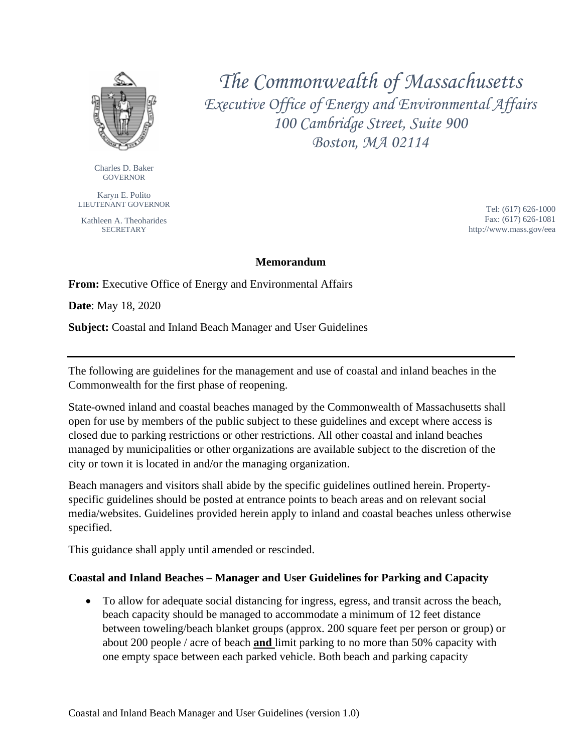

Charles D. Baker GOVERNOR

Karyn E. Polito LIEUTENANT GOVERNOR

Kathleen A. Theoharides **SECRETARY** 

*The Commonwealth of Massachusetts Executive Office of Energy and Environmental Affairs 100 Cambridge Street, Suite 900 Boston, MA 02114*

> Tel: (617) 626-1000 Fax: (617) 626-1081 http://www.mass.gov/eea

#### **Memorandum**

**From:** Executive Office of Energy and Environmental Affairs

**Date**: May 18, 2020

**Subject:** Coastal and Inland Beach Manager and User Guidelines

The following are guidelines for the management and use of coastal and inland beaches in the Commonwealth for the first phase of reopening.

State-owned inland and coastal beaches managed by the Commonwealth of Massachusetts shall open for use by members of the public subject to these guidelines and except where access is closed due to parking restrictions or other restrictions. All other coastal and inland beaches managed by municipalities or other organizations are available subject to the discretion of the city or town it is located in and/or the managing organization.

Beach managers and visitors shall abide by the specific guidelines outlined herein. Propertyspecific guidelines should be posted at entrance points to beach areas and on relevant social media/websites. Guidelines provided herein apply to inland and coastal beaches unless otherwise specified.

This guidance shall apply until amended or rescinded.

#### **Coastal and Inland Beaches – Manager and User Guidelines for Parking and Capacity**

• To allow for adequate social distancing for ingress, egress, and transit across the beach, beach capacity should be managed to accommodate a minimum of 12 feet distance between toweling/beach blanket groups (approx. 200 square feet per person or group) or about 200 people / acre of beach **and** limit parking to no more than 50% capacity with one empty space between each parked vehicle. Both beach and parking capacity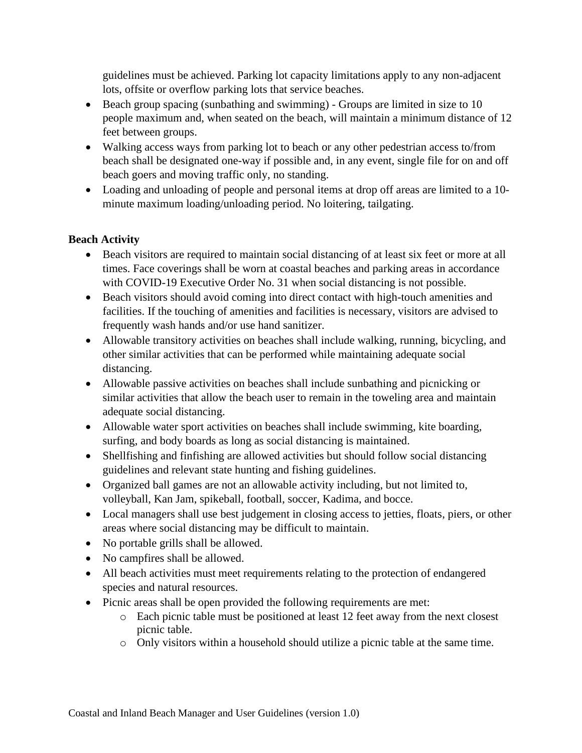guidelines must be achieved. Parking lot capacity limitations apply to any non-adjacent lots, offsite or overflow parking lots that service beaches.

- Beach group spacing (sunbathing and swimming) Groups are limited in size to 10 people maximum and, when seated on the beach, will maintain a minimum distance of 12 feet between groups.
- Walking access ways from parking lot to beach or any other pedestrian access to/from beach shall be designated one-way if possible and, in any event, single file for on and off beach goers and moving traffic only, no standing.
- Loading and unloading of people and personal items at drop off areas are limited to a 10 minute maximum loading/unloading period. No loitering, tailgating.

### **Beach Activity**

- Beach visitors are required to maintain social distancing of at least six feet or more at all times. Face coverings shall be worn at coastal beaches and parking areas in accordance with COVID-19 Executive Order No. 31 when social distancing is not possible.
- Beach visitors should avoid coming into direct contact with high-touch amenities and facilities. If the touching of amenities and facilities is necessary, visitors are advised to frequently wash hands and/or use hand sanitizer.
- Allowable transitory activities on beaches shall include walking, running, bicycling, and other similar activities that can be performed while maintaining adequate social distancing.
- Allowable passive activities on beaches shall include sunbathing and picnicking or similar activities that allow the beach user to remain in the toweling area and maintain adequate social distancing.
- Allowable water sport activities on beaches shall include swimming, kite boarding, surfing, and body boards as long as social distancing is maintained.
- Shellfishing and finfishing are allowed activities but should follow social distancing guidelines and relevant state hunting and fishing guidelines.
- Organized ball games are not an allowable activity including, but not limited to, volleyball, Kan Jam, spikeball, football, soccer, Kadima, and bocce.
- Local managers shall use best judgement in closing access to jetties, floats, piers, or other areas where social distancing may be difficult to maintain.
- No portable grills shall be allowed.
- No campfires shall be allowed.
- All beach activities must meet requirements relating to the protection of endangered species and natural resources.
- Picnic areas shall be open provided the following requirements are met:
	- o Each picnic table must be positioned at least 12 feet away from the next closest picnic table.
	- o Only visitors within a household should utilize a picnic table at the same time.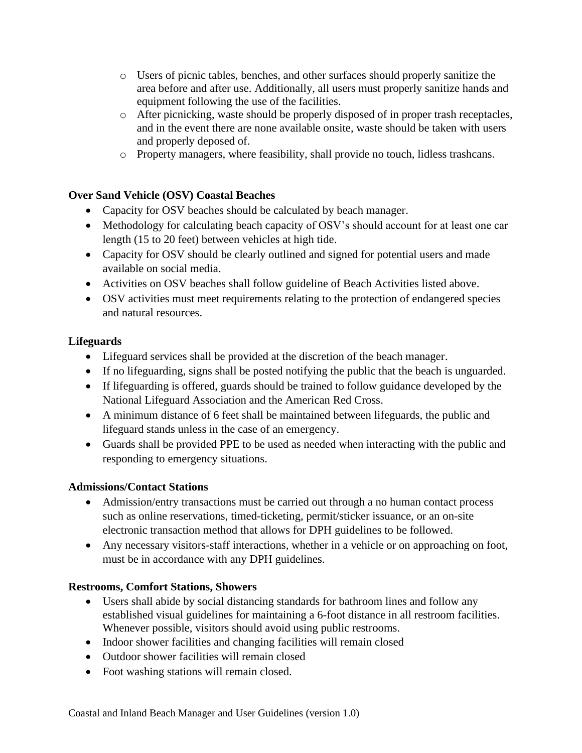- o Users of picnic tables, benches, and other surfaces should properly sanitize the area before and after use. Additionally, all users must properly sanitize hands and equipment following the use of the facilities.
- o After picnicking, waste should be properly disposed of in proper trash receptacles, and in the event there are none available onsite, waste should be taken with users and properly deposed of.
- o Property managers, where feasibility, shall provide no touch, lidless trashcans.

## **Over Sand Vehicle (OSV) Coastal Beaches**

- Capacity for OSV beaches should be calculated by beach manager.
- Methodology for calculating beach capacity of OSV's should account for at least one car length (15 to 20 feet) between vehicles at high tide.
- Capacity for OSV should be clearly outlined and signed for potential users and made available on social media.
- Activities on OSV beaches shall follow guideline of Beach Activities listed above.
- OSV activities must meet requirements relating to the protection of endangered species and natural resources.

## **Lifeguards**

- Lifeguard services shall be provided at the discretion of the beach manager.
- If no lifeguarding, signs shall be posted notifying the public that the beach is unguarded.
- If lifeguarding is offered, guards should be trained to follow guidance developed by the National Lifeguard Association and the American Red Cross.
- A minimum distance of 6 feet shall be maintained between lifeguards, the public and lifeguard stands unless in the case of an emergency.
- Guards shall be provided PPE to be used as needed when interacting with the public and responding to emergency situations.

# **Admissions/Contact Stations**

- Admission/entry transactions must be carried out through a no human contact process such as online reservations, timed-ticketing, permit/sticker issuance, or an on-site electronic transaction method that allows for DPH guidelines to be followed.
- Any necessary visitors-staff interactions, whether in a vehicle or on approaching on foot, must be in accordance with any DPH guidelines.

# **Restrooms, Comfort Stations, Showers**

- Users shall abide by social distancing standards for bathroom lines and follow any established visual guidelines for maintaining a 6-foot distance in all restroom facilities. Whenever possible, visitors should avoid using public restrooms.
- Indoor shower facilities and changing facilities will remain closed
- Outdoor shower facilities will remain closed
- Foot washing stations will remain closed.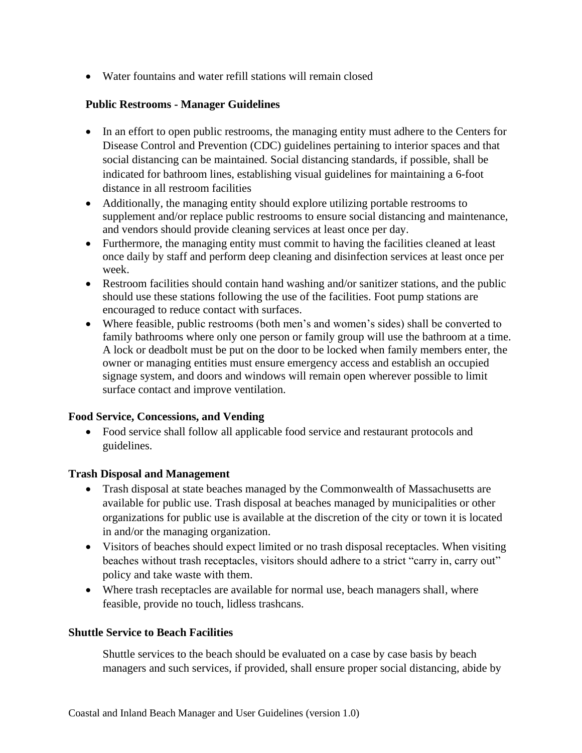• Water fountains and water refill stations will remain closed

### **Public Restrooms - Manager Guidelines**

- In an effort to open public restrooms, the managing entity must adhere to the Centers for Disease Control and Prevention (CDC) guidelines pertaining to interior spaces and that social distancing can be maintained. Social distancing standards, if possible, shall be indicated for bathroom lines, establishing visual guidelines for maintaining a 6-foot distance in all restroom facilities
- Additionally, the managing entity should explore utilizing portable restrooms to supplement and/or replace public restrooms to ensure social distancing and maintenance, and vendors should provide cleaning services at least once per day.
- Furthermore, the managing entity must commit to having the facilities cleaned at least once daily by staff and perform deep cleaning and disinfection services at least once per week.
- Restroom facilities should contain hand washing and/or sanitizer stations, and the public should use these stations following the use of the facilities. Foot pump stations are encouraged to reduce contact with surfaces.
- Where feasible, public restrooms (both men's and women's sides) shall be converted to family bathrooms where only one person or family group will use the bathroom at a time. A lock or deadbolt must be put on the door to be locked when family members enter, the owner or managing entities must ensure emergency access and establish an occupied signage system, and doors and windows will remain open wherever possible to limit surface contact and improve ventilation.

### **Food Service, Concessions, and Vending**

• Food service shall follow all applicable food service and restaurant protocols and guidelines.

### **Trash Disposal and Management**

- Trash disposal at state beaches managed by the Commonwealth of Massachusetts are available for public use. Trash disposal at beaches managed by municipalities or other organizations for public use is available at the discretion of the city or town it is located in and/or the managing organization.
- Visitors of beaches should expect limited or no trash disposal receptacles. When visiting beaches without trash receptacles, visitors should adhere to a strict "carry in, carry out" policy and take waste with them.
- Where trash receptacles are available for normal use, beach managers shall, where feasible, provide no touch, lidless trashcans.

### **Shuttle Service to Beach Facilities**

Shuttle services to the beach should be evaluated on a case by case basis by beach managers and such services, if provided, shall ensure proper social distancing, abide by